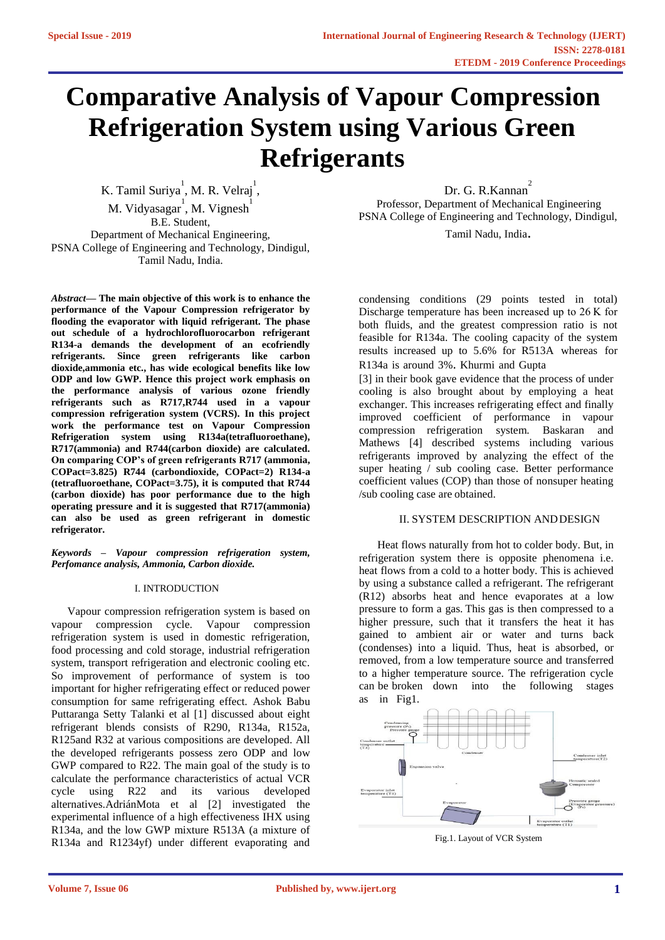# **Comparative Analysis of Vapour Compression Refrigeration System using Various Green Refrigerants**

K. Tamil Suriya<sup>1</sup>, M. R. Velraj<sup>1</sup>, M. Vidyasagar<sup>1</sup>, M. Vignesh<sup>1</sup> B.E. Student, Department of Mechanical Engineering, PSNA College of Engineering and Technology, Dindigul, Tamil Nadu, India.

*Abstract***— The main objective of this work is to enhance the performance of the Vapour Compression refrigerator by flooding the evaporator with liquid refrigerant. The phase out schedule of a hydrochlorofluorocarbon refrigerant R134-a demands the development of an ecofriendly refrigerants. Since green refrigerants like carbon dioxide,ammonia etc., has wide ecological benefits like low ODP and low GWP. Hence this project work emphasis on the performance analysis of various ozone friendly refrigerants such as R717,R744 used in a vapour compression refrigeration system (VCRS). In this project work the performance test on Vapour Compression Refrigeration system using R134a(tetrafluoroethane), R717(ammonia) and R744(carbon dioxide) are calculated. On comparing COP's of green refrigerants R717 (ammonia, COPact=3.825) R744 (carbondioxide, COPact=2) R134-a (tetrafluoroethane, COPact=3.75), it is computed that R744 (carbon dioxide) has poor performance due to the high operating pressure and it is suggested that R717(ammonia) can also be used as green refrigerant in domestic refrigerator.**

*Keywords – Vapour compression refrigeration system, Perfomance analysis, Ammonia, Carbon dioxide.*

# I. INTRODUCTION

Vapour compression refrigeration system is based on vapour compression cycle. Vapour compression refrigeration system is used in domestic refrigeration, food processing and cold storage, industrial refrigeration system, transport refrigeration and electronic cooling etc. So improvement of performance of system is too important for higher refrigerating effect or reduced power consumption for same refrigerating effect. Ashok Babu Puttaranga Setty Talanki et al [1] discussed about eight refrigerant blends consists of R290, R134a, R152a, R125and R32 at various compositions are developed. All the developed refrigerants possess zero ODP and low GWP compared to R22. The main goal of the study is to calculate the performance characteristics of actual VCR cycle using R22 and its various developed alternatives.AdriánMota et al [2] investigated the experimental influence of a high effectiveness IHX using R134a, and the low GWP mixture R513A (a mixture of R134a and R1234yf) under different evaporating and

Dr. G. R.Kannan<sup>2</sup> Professor, Department of Mechanical Engineering PSNA College of Engineering and Technology, Dindigul,

Tamil Nadu, India.

condensing conditions (29 points tested in total) Discharge temperature has been increased up to 26 K for both fluids, and the greatest compression ratio is not feasible for R134a. The cooling capacity of the system results increased up to 5.6% for R513A whereas for R134a is around 3%. Khurmi and Gupta

[3] in their book gave evidence that the process of under cooling is also brought about by employing a heat exchanger. This increases refrigerating effect and finally improved coefficient of performance in vapour compression refrigeration system. Baskaran and Mathews [4] described systems including various refrigerants improved by analyzing the effect of the super heating / sub cooling case. Better performance coefficient values (COP) than those of nonsuper heating /sub cooling case are obtained.

# II. SYSTEM DESCRIPTION ANDDESIGN

Heat flows naturally from hot to colder body. But, in refrigeration system there is opposite phenomena i.e. heat flows from a cold to a hotter body. This is achieved by using a substance called a refrigerant. The refrigerant (R12) absorbs heat and hence evaporates at a low pressure to form a gas. This gas is then compressed to a higher pressure, such that it transfers the heat it has gained to ambient air or water and turns back (condenses) into a liquid. Thus, heat is absorbed, or removed, from a low temperature source and transferred to a higher temperature source. The refrigeration cycle can be broken down into the following stages as in Fig1.



Fig.1. Layout of VCR System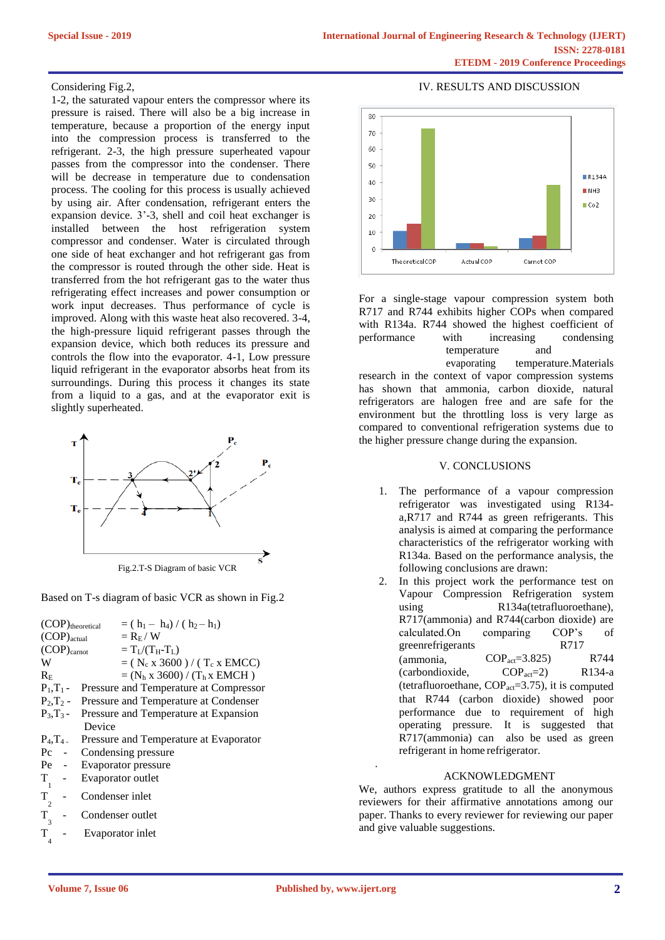# Considering Fig.2,

1-2, the saturated vapour enters the compressor where its pressure is raised. There will also be a big increase in temperature, because a proportion of the energy input into the compression process is transferred to the refrigerant. 2-3, the high pressure superheated vapour passes from the compressor into the condenser. There will be decrease in temperature due to condensation process. The cooling for this process is usually achieved by using air. After condensation, refrigerant enters the expansion device. 3'-3, shell and coil heat exchanger is installed between the host refrigeration system compressor and condenser. Water is circulated through one side of heat exchanger and hot refrigerant gas from the compressor is routed through the other side. Heat is transferred from the hot refrigerant gas to the water thus refrigerating effect increases and power consumption or work input decreases. Thus performance of cycle is improved. Along with this waste heat also recovered. 3-4, the high-pressure liquid refrigerant passes through the expansion device, which both reduces its pressure and controls the flow into the evaporator. 4-1, Low pressure liquid refrigerant in the evaporator absorbs heat from its surroundings. During this process it changes its state from a liquid to a gas, and at the evaporator exit is slightly superheated.



Based on T-s diagram of basic VCR as shown in Fig.2

|                   | (COP)theoretical | $= (h_1 - h_4) / (h_2 - h_1)$                         |  |
|-------------------|------------------|-------------------------------------------------------|--|
| $(COP)_{actual}$  |                  | $=$ $\rm R_F$ / $\rm W$                               |  |
| $(COP)_{carnot}$  |                  | $=T_I/(T_H-T_I)$                                      |  |
| W                 |                  | $= (N_c x 3600) / (T_c x EMCC)$                       |  |
| $R_{\rm E}$       |                  | $=(N_h x 3600) / (T_h x EMCH)$                        |  |
|                   |                  | $P_1, T_1$ - Pressure and Temperature at Compressor   |  |
|                   |                  | $P_2, T_2$ - Pressure and Temperature at Condenser    |  |
|                   |                  | $P_3$ , $T_3$ - Pressure and Temperature at Expansion |  |
|                   | Device           |                                                       |  |
| $P_4, T_4$ .      |                  | Pressure and Temperature at Evaporator                |  |
| $P_{\rm C}$       | $\sim$ $-$       | Condensing pressure                                   |  |
| $Pe -$            |                  | Evaporator pressure                                   |  |
| T                 |                  | Evaporator outlet                                     |  |
| $T_{\perp}$       | Condenser inlet  |                                                       |  |
| $\overline{2}$    |                  |                                                       |  |
| T                 | Condenser outlet |                                                       |  |
| $\mathbf{3}$<br>T |                  | Evaporator inlet                                      |  |
| 4                 |                  |                                                       |  |



For a single-stage vapour compression system both R717 and R744 exhibits higher COPs when compared with R134a. R744 showed the highest coefficient of performance with increasing condensing temperature and

evaporating temperature.Materials research in the context of vapor compression systems has shown that ammonia, carbon dioxide, natural refrigerators are halogen free and are safe for the environment but the throttling loss is very large as compared to conventional refrigeration systems due to the higher pressure change during the expansion.

# V. CONCLUSIONS

- 1. The performance of a vapour compression refrigerator was investigated using R134 a,R717 and R744 as green refrigerants. This analysis is aimed at comparing the performance characteristics of the refrigerator working with R134a. Based on the performance analysis, the following conclusions are drawn:
- 2. In this project work the performance test on Vapour Compression Refrigeration system using R134a(tetrafluoroethane), R717(ammonia) and R744(carbon dioxide) are calculated.On comparing COP's of greenrefrigerants R717  $\text{(ammonia, \qquad\text{COP}_{act}=3.825)}$  R744 (carbondioxide, COPact=2) R134-a (tetrafluoroethane,  $COP_{act}=3.75$ ), it is computed that R744 (carbon dioxide) showed poor performance due to requirement of high operating pressure. It is suggested that R717(ammonia) can also be used as green refrigerant in home refrigerator.

# ACKNOWLEDGMENT

We, authors express gratitude to all the anonymous reviewers for their affirmative annotations among our paper. Thanks to every reviewer for reviewing our paper and give valuable suggestions.

.